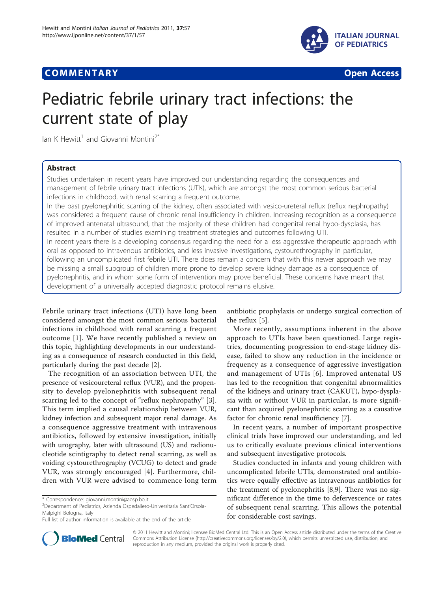## **COMMENTARY COMMENTARY Open Access**



# Pediatric febrile urinary tract infections: the current state of play

Ian K Hewitt<sup>1</sup> and Giovanni Montini<sup>2\*</sup>

### Abstract

Studies undertaken in recent years have improved our understanding regarding the consequences and management of febrile urinary tract infections (UTIs), which are amongst the most common serious bacterial infections in childhood, with renal scarring a frequent outcome.

In the past pyelonephritic scarring of the kidney, often associated with vesico-ureteral reflux (reflux nephropathy) was considered a frequent cause of chronic renal insufficiency in children. Increasing recognition as a consequence of improved antenatal ultrasound, that the majority of these children had congenital renal hypo-dysplasia, has resulted in a number of studies examining treatment strategies and outcomes following UTI. In recent years there is a developing consensus regarding the need for a less aggressive therapeutic approach with

oral as opposed to intravenous antibiotics, and less invasive investigations, cystourethrography in particular, following an uncomplicated first febrile UTI. There does remain a concern that with this newer approach we may be missing a small subgroup of children more prone to develop severe kidney damage as a consequence of pyelonephritis, and in whom some form of intervention may prove beneficial. These concerns have meant that development of a universally accepted diagnostic protocol remains elusive.

Febrile urinary tract infections (UTI) have long been considered amongst the most common serious bacterial infections in childhood with renal scarring a frequent outcome [[1](#page-2-0)]. We have recently published a review on this topic, highlighting developments in our understanding as a consequence of research conducted in this field, particularly during the past decade [\[2\]](#page-2-0).

The recognition of an association between UTI, the presence of vesicoureteral reflux (VUR), and the propensity to develop pyelonephritis with subsequent renal scarring led to the concept of "reflux nephropathy" [[3](#page-2-0)]. This term implied a causal relationship between VUR, kidney infection and subsequent major renal damage. As a consequence aggressive treatment with intravenous antibiotics, followed by extensive investigation, initially with urography, later with ultrasound (US) and radionucleotide scintigraphy to detect renal scarring, as well as voiding cystourethrography (VCUG) to detect and grade VUR, was strongly encouraged [[4\]](#page-2-0). Furthermore, children with VUR were advised to commence long term

2 Department of Pediatrics, Azienda Ospedaliero-Universitaria Sant'Orsola-Malpighi Bologna, Italy

antibiotic prophylaxis or undergo surgical correction of the reflux [[5\]](#page-2-0).

More recently, assumptions inherent in the above approach to UTIs have been questioned. Large registries, documenting progression to end-stage kidney disease, failed to show any reduction in the incidence or frequency as a consequence of aggressive investigation and management of UTIs [\[6\]](#page-2-0). Improved antenatal US has led to the recognition that congenital abnormalities of the kidneys and urinary tract (CAKUT), hypo-dysplasia with or without VUR in particular, is more significant than acquired pyelonephritic scarring as a causative factor for chronic renal insufficiency [[7\]](#page-2-0).

In recent years, a number of important prospective clinical trials have improved our understanding, and led us to critically evaluate previous clinical interventions and subsequent investigative protocols.

Studies conducted in infants and young children with uncomplicated febrile UTIs, demonstrated oral antibiotics were equally effective as intravenous antibiotics for the treatment of pyelonephritis [[8,9](#page-2-0)]. There was no significant difference in the time to defervescence or rates of subsequent renal scarring. This allows the potential for considerable cost savings.



© 2011 Hewitt and Montini; licensee BioMed Central Ltd. This is an Open Access article distributed under the terms of the Creative Commons Attribution License [\(http://creativecommons.org/licenses/by/2.0](http://creativecommons.org/licenses/by/2.0)), which permits unrestricted use, distribution, and reproduction in any medium, provided the original work is properly cited.

<sup>\*</sup> Correspondence: [giovanni.montini@aosp.bo.it](mailto:giovanni.montini@aosp.bo.it)

Full list of author information is available at the end of the article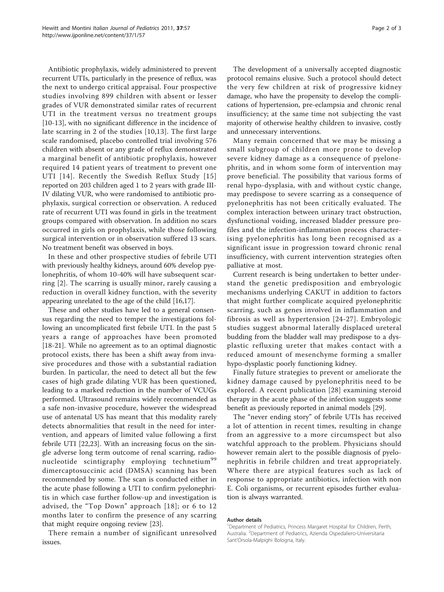Antibiotic prophylaxis, widely administered to prevent recurrent UTIs, particularly in the presence of reflux, was the next to undergo critical appraisal. Four prospective studies involving 899 children with absent or lesser grades of VUR demonstrated similar rates of recurrent UTI in the treatment versus no treatment groups [[10-13](#page-2-0)], with no significant difference in the incidence of late scarring in 2 of the studies [\[10,13](#page-2-0)]. The first large scale randomised, placebo controlled trial involving 576 children with absent or any grade of reflux demonstrated a marginal benefit of antibiotic prophylaxis, however required 14 patient years of treatment to prevent one UTI [[14](#page-2-0)]. Recently the Swedish Reflux Study [[15](#page-2-0)] reported on 203 children aged 1 to 2 years with grade III-IV dilating VUR, who were randomised to antibiotic prophylaxis, surgical correction or observation. A reduced rate of recurrent UTI was found in girls in the treatment groups compared with observation. In addition no scars occurred in girls on prophylaxis, while those following surgical intervention or in observation suffered 13 scars. No treatment benefit was observed in boys.

In these and other prospective studies of febrile UTI with previously healthy kidneys, around 60% develop pyelonephritis, of whom 10-40% will have subsequent scarring [[2](#page-2-0)]. The scarring is usually minor, rarely causing a reduction in overall kidney function, with the severity appearing unrelated to the age of the child [[16,17\]](#page-2-0).

These and other studies have led to a general consensus regarding the need to temper the investigations following an uncomplicated first febrile UTI. In the past 5 years a range of approaches have been promoted [[18-21\]](#page-2-0). While no agreement as to an optimal diagnostic protocol exists, there has been a shift away from invasive procedures and those with a substantial radiation burden. In particular, the need to detect all but the few cases of high grade dilating VUR has been questioned, leading to a marked reduction in the number of VCUGs performed. Ultrasound remains widely recommended as a safe non-invasive procedure, however the widespread use of antenatal US has meant that this modality rarely detects abnormalities that result in the need for intervention, and appears of limited value following a first febrile UTI [[22,23](#page-2-0)]. With an increasing focus on the single adverse long term outcome of renal scarring, radionucleotide scintigraphy employing technetium<sup>99</sup> dimercaptosuccinic acid (DMSA) scanning has been recommended by some. The scan is conducted either in the acute phase following a UTI to confirm pyelonephritis in which case further follow-up and investigation is advised, the "Top Down" approach [[18](#page-2-0)]; or 6 to 12 months later to confirm the presence of any scarring that might require ongoing review [\[23\]](#page-2-0).

There remain a number of significant unresolved issues.

The development of a universally accepted diagnostic protocol remains elusive. Such a protocol should detect the very few children at risk of progressive kidney damage, who have the propensity to develop the complications of hypertension, pre-eclampsia and chronic renal insufficiency; at the same time not subjecting the vast majority of otherwise healthy children to invasive, costly and unnecessary interventions.

Many remain concerned that we may be missing a small subgroup of children more prone to develop severe kidney damage as a consequence of pyelonephritis, and in whom some form of intervention may prove beneficial. The possibility that various forms of renal hypo-dysplasia, with and without cystic change, may predispose to severe scarring as a consequence of pyelonephritis has not been critically evaluated. The complex interaction between urinary tract obstruction, dysfunctional voiding, increased bladder pressure profiles and the infection-inflammation process characterising pyelonephritis has long been recognised as a significant issue in progression toward chronic renal insufficiency, with current intervention strategies often palliative at most.

Current research is being undertaken to better understand the genetic predisposition and embryologic mechanisms underlying CAKUT in addition to factors that might further complicate acquired pyelonephritic scarring, such as genes involved in inflammation and fibrosis as well as hypertension [[24](#page-2-0)-[27\]](#page-2-0). Embryologic studies suggest abnormal laterally displaced ureteral budding from the bladder wall may predispose to a dysplastic refluxing ureter that makes contact with a reduced amount of mesenchyme forming a smaller hypo-dysplastic poorly functioning kidney.

Finally future strategies to prevent or ameliorate the kidney damage caused by pyelonephritis need to be explored. A recent publication [[28](#page-2-0)] examining steroid therapy in the acute phase of the infection suggests some benefit as previously reported in animal models [\[29\]](#page-2-0).

The "never ending story" of febrile UTIs has received a lot of attention in recent times, resulting in change from an aggressive to a more circumspect but also watchful approach to the problem. Physicians should however remain alert to the possible diagnosis of pyelonephritis in febrile children and treat appropriately. Where there are atypical features such as lack of response to appropriate antibiotics, infection with non E. Coli organisms, or recurrent episodes further evaluation is always warranted.

#### Author details

<sup>1</sup>Department of Pediatrics, Princess Margaret Hospital for Children, Perth Australia. <sup>2</sup> Department of Pediatrics, Azienda Ospedaliero-Universitaria Sant'Orsola-Malpighi Bologna, Italy.